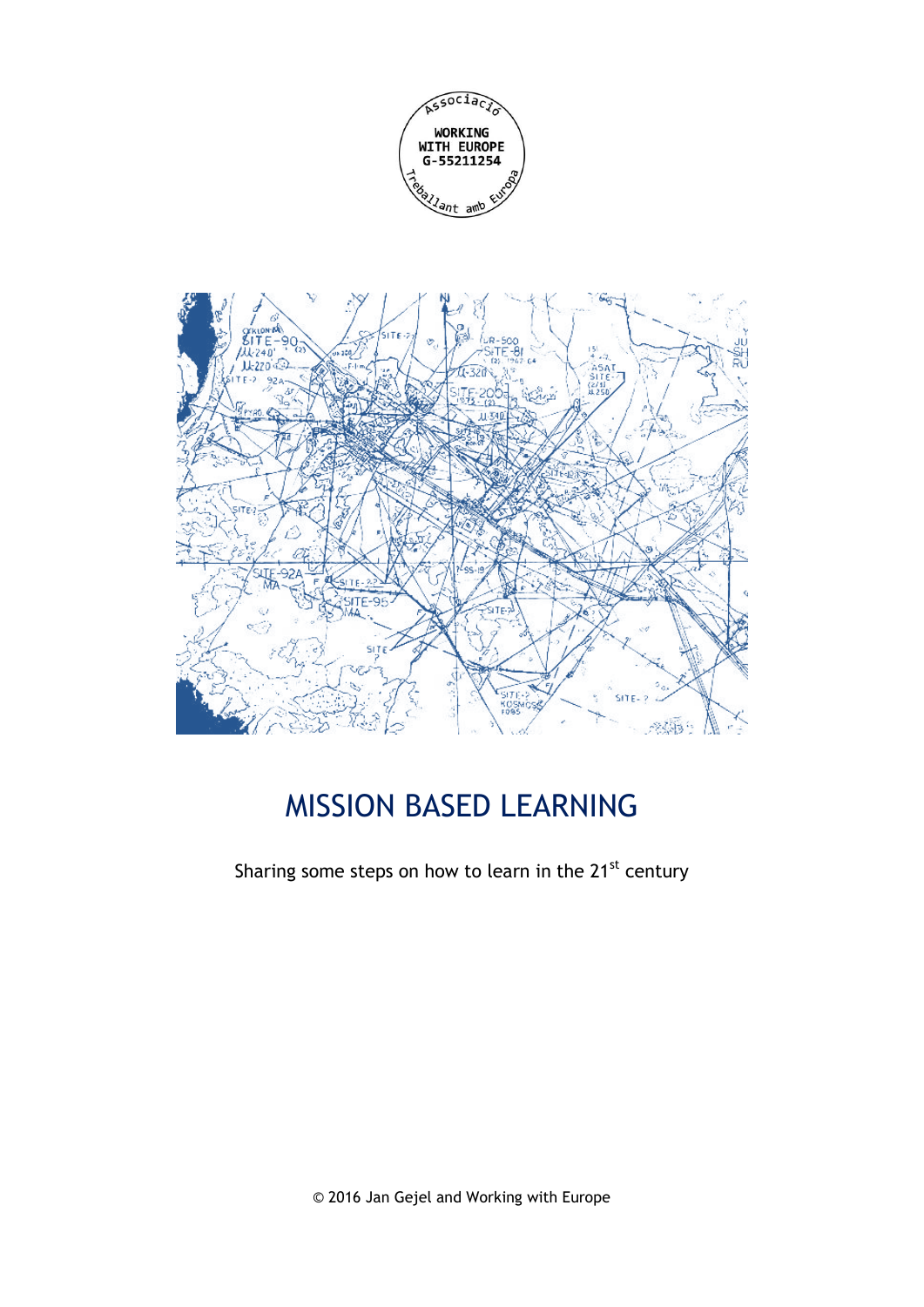



# MISSION BASED LEARNING

Sharing some steps on how to learn in the 21<sup>st</sup> century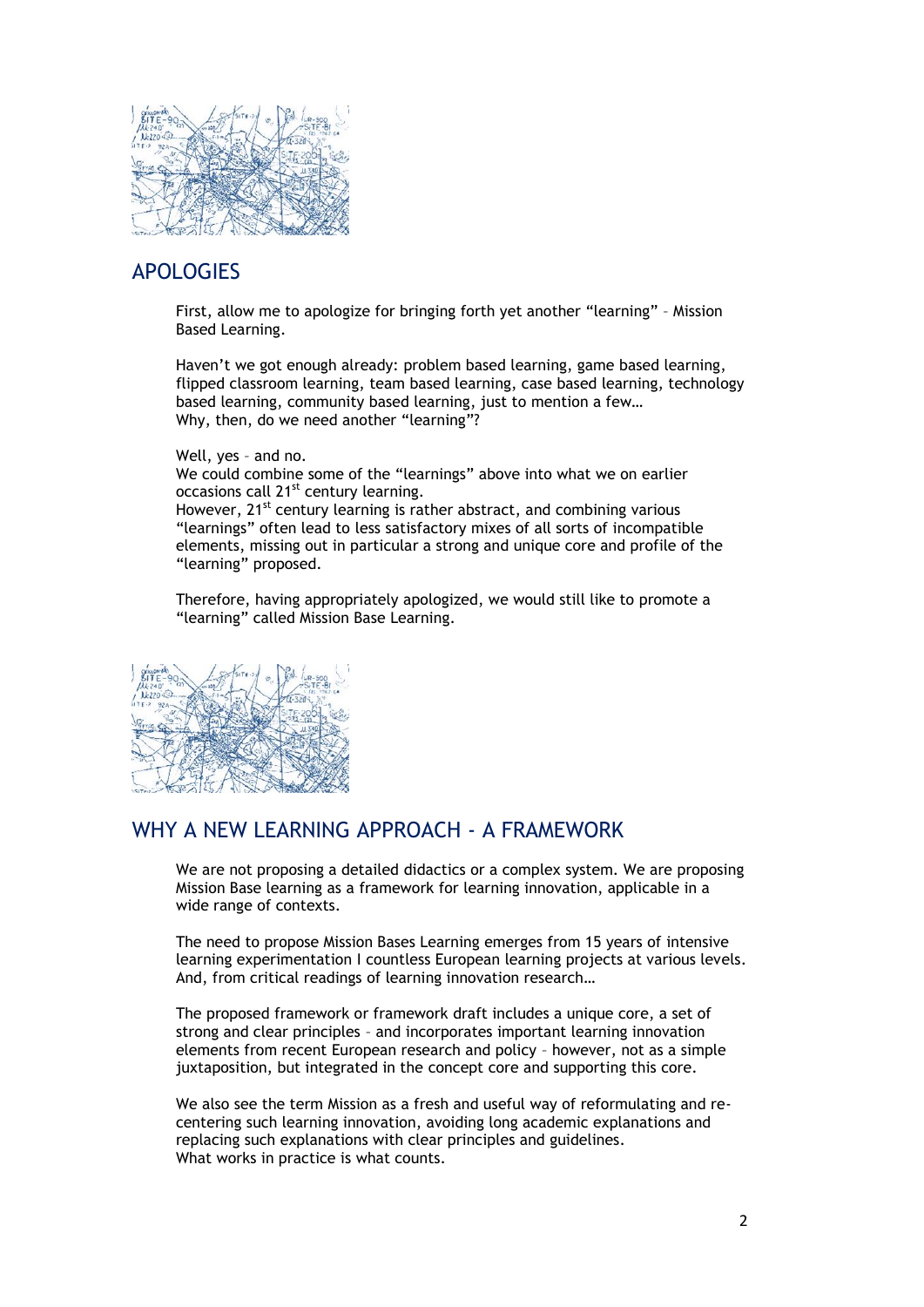

# APOLOGIES

First, allow me to apologize for bringing forth yet another "learning" – Mission Based Learning.

Haven't we got enough already: problem based learning, game based learning, flipped classroom learning, team based learning, case based learning, technology based learning, community based learning, just to mention a few… Why, then, do we need another "learning"?

Well, yes – and no. We could combine some of the "learnings" above into what we on earlier occasions call 21<sup>st</sup> century learning. However, 21<sup>st</sup> century learning is rather abstract, and combining various "learnings" often lead to less satisfactory mixes of all sorts of incompatible elements, missing out in particular a strong and unique core and profile of the "learning" proposed.

Therefore, having appropriately apologized, we would still like to promote a "learning" called Mission Base Learning.



# WHY A NEW LEARNING APPROACH - A FRAMEWORK

We are not proposing a detailed didactics or a complex system. We are proposing Mission Base learning as a framework for learning innovation, applicable in a wide range of contexts.

The need to propose Mission Bases Learning emerges from 15 years of intensive learning experimentation I countless European learning projects at various levels. And, from critical readings of learning innovation research…

The proposed framework or framework draft includes a unique core, a set of strong and clear principles – and incorporates important learning innovation elements from recent European research and policy – however, not as a simple juxtaposition, but integrated in the concept core and supporting this core.

We also see the term Mission as a fresh and useful way of reformulating and recentering such learning innovation, avoiding long academic explanations and replacing such explanations with clear principles and guidelines. What works in practice is what counts.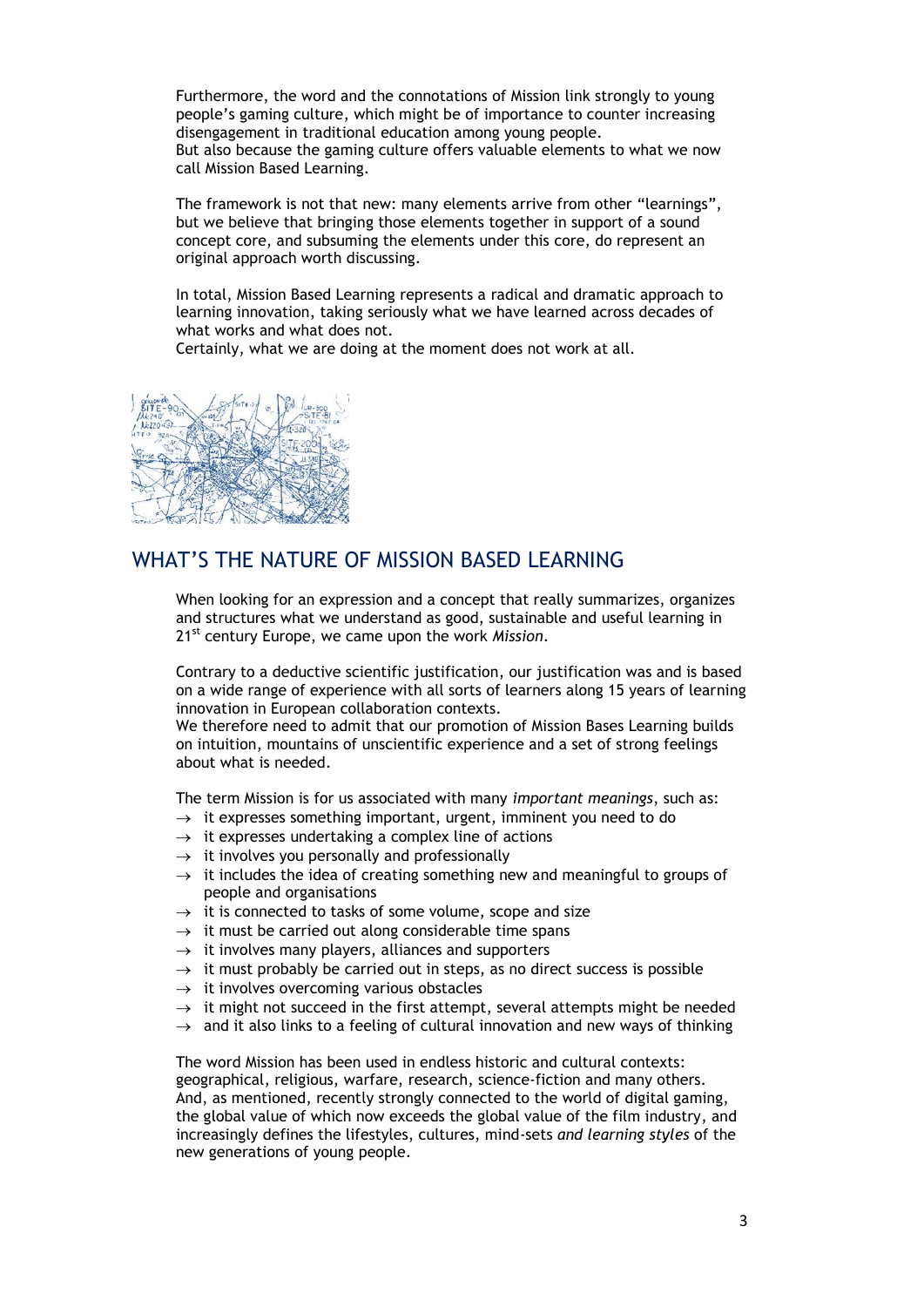Furthermore, the word and the connotations of Mission link strongly to young people's gaming culture, which might be of importance to counter increasing disengagement in traditional education among young people. But also because the gaming culture offers valuable elements to what we now call Mission Based Learning.

The framework is not that new: many elements arrive from other "learnings", but we believe that bringing those elements together in support of a sound concept core, and subsuming the elements under this core, do represent an original approach worth discussing.

In total, Mission Based Learning represents a radical and dramatic approach to learning innovation, taking seriously what we have learned across decades of what works and what does not.

Certainly, what we are doing at the moment does not work at all.



# WHAT'S THE NATURE OF MISSION BASED LEARNING

When looking for an expression and a concept that really summarizes, organizes and structures what we understand as good, sustainable and useful learning in 21st century Europe, we came upon the work *Mission*.

Contrary to a deductive scientific justification, our justification was and is based on a wide range of experience with all sorts of learners along 15 years of learning innovation in European collaboration contexts.

We therefore need to admit that our promotion of Mission Bases Learning builds on intuition, mountains of unscientific experience and a set of strong feelings about what is needed.

The term Mission is for us associated with many *important meanings*, such as:

- $\rightarrow$  it expresses something important, urgent, imminent you need to do
- $\rightarrow$  it expresses undertaking a complex line of actions
- $\rightarrow$  it involves you personally and professionally
- $\rightarrow$  it includes the idea of creating something new and meaningful to groups of people and organisations
- $\rightarrow$  it is connected to tasks of some volume, scope and size
- $\rightarrow$  it must be carried out along considerable time spans
- $\rightarrow$  it involves many players, alliances and supporters
- $\rightarrow$  it must probably be carried out in steps, as no direct success is possible
- $\rightarrow$  it involves overcoming various obstacles
- $\rightarrow$  it might not succeed in the first attempt, several attempts might be needed
- $\rightarrow$  and it also links to a feeling of cultural innovation and new ways of thinking

The word Mission has been used in endless historic and cultural contexts: geographical, religious, warfare, research, science-fiction and many others. And, as mentioned, recently strongly connected to the world of digital gaming, the global value of which now exceeds the global value of the film industry, and increasingly defines the lifestyles, cultures, mind-sets *and learning styles* of the new generations of young people.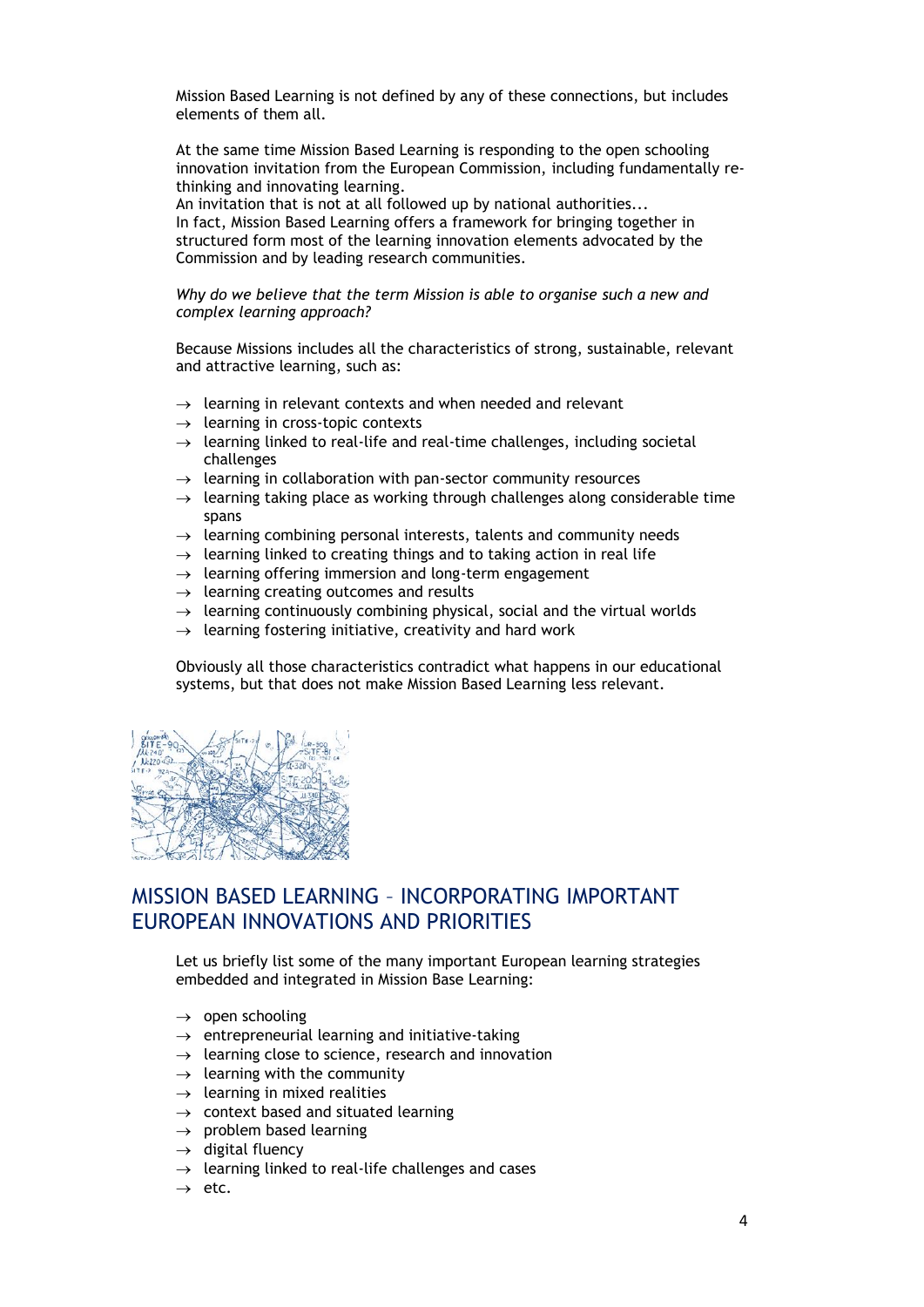Mission Based Learning is not defined by any of these connections, but includes elements of them all.

At the same time Mission Based Learning is responding to the open schooling innovation invitation from the European Commission, including fundamentally rethinking and innovating learning.

An invitation that is not at all followed up by national authorities... In fact, Mission Based Learning offers a framework for bringing together in structured form most of the learning innovation elements advocated by the Commission and by leading research communities.

*Why do we believe that the term Mission is able to organise such a new and complex learning approach?*

Because Missions includes all the characteristics of strong, sustainable, relevant and attractive learning, such as:

- $\rightarrow$  learning in relevant contexts and when needed and relevant
- $\rightarrow$  learning in cross-topic contexts
- $\rightarrow$  learning linked to real-life and real-time challenges, including societal challenges
- $\rightarrow$  learning in collaboration with pan-sector community resources
- $\rightarrow$  learning taking place as working through challenges along considerable time spans
- $\rightarrow$  learning combining personal interests, talents and community needs
- $\rightarrow$  learning linked to creating things and to taking action in real life
- $\rightarrow$  learning offering immersion and long-term engagement
- $\rightarrow$  learning creating outcomes and results
- $\rightarrow$  learning continuously combining physical, social and the virtual worlds
- $\rightarrow$  learning fostering initiative, creativity and hard work

Obviously all those characteristics contradict what happens in our educational systems, but that does not make Mission Based Learning less relevant.



# MISSION BASED LEARNING – INCORPORATING IMPORTANT EUROPEAN INNOVATIONS AND PRIORITIES

Let us briefly list some of the many important European learning strategies embedded and integrated in Mission Base Learning:

- $\rightarrow$  open schooling
- $\rightarrow$  entrepreneurial learning and initiative-taking
- $\rightarrow$  learning close to science, research and innovation
- $\rightarrow$  learning with the community
- $\rightarrow$  learning in mixed realities
- $\rightarrow$  context based and situated learning
- $\rightarrow$  problem based learning
- $\rightarrow$  digital fluency
- $\rightarrow$  learning linked to real-life challenges and cases
- $\rightarrow$  etc.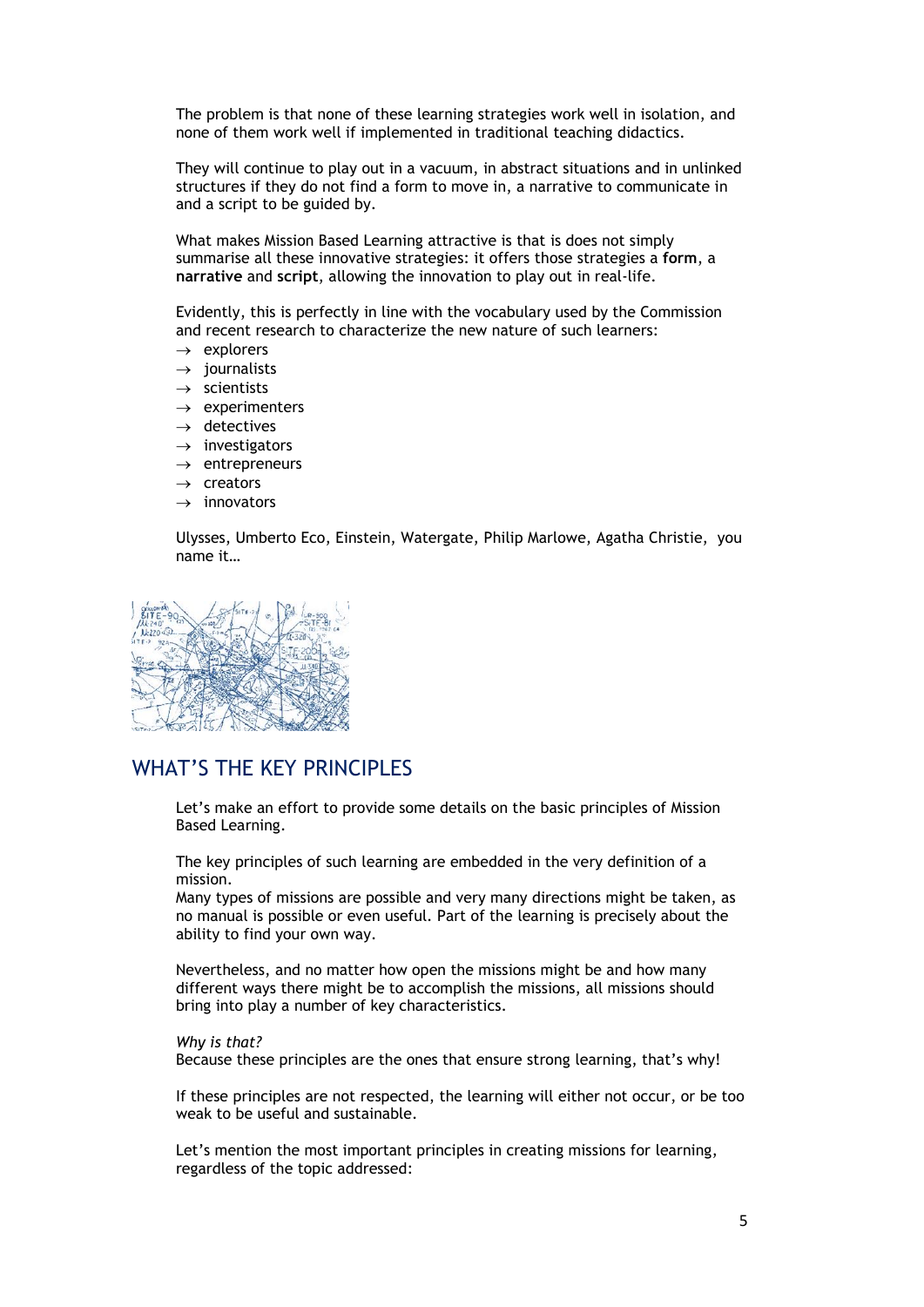The problem is that none of these learning strategies work well in isolation, and none of them work well if implemented in traditional teaching didactics.

They will continue to play out in a vacuum, in abstract situations and in unlinked structures if they do not find a form to move in, a narrative to communicate in and a script to be guided by.

What makes Mission Based Learning attractive is that is does not simply summarise all these innovative strategies: it offers those strategies a **form**, a **narrative** and **script**, allowing the innovation to play out in real-life.

Evidently, this is perfectly in line with the vocabulary used by the Commission and recent research to characterize the new nature of such learners:

- $\rightarrow$  explorers
- $\rightarrow$  iournalists
- $\rightarrow$  scientists
- $\rightarrow$  experimenters
- $\rightarrow$  detectives
- $\rightarrow$  investigators
- $\rightarrow$  entrepreneurs
- $\rightarrow$  creators
- $\rightarrow$  innovators

Ulysses, Umberto Eco, Einstein, Watergate, Philip Marlowe, Agatha Christie, you name it…



## WHAT'S THE KEY PRINCIPLES

Let's make an effort to provide some details on the basic principles of Mission Based Learning.

The key principles of such learning are embedded in the very definition of a mission.

Many types of missions are possible and very many directions might be taken, as no manual is possible or even useful. Part of the learning is precisely about the ability to find your own way.

Nevertheless, and no matter how open the missions might be and how many different ways there might be to accomplish the missions, all missions should bring into play a number of key characteristics.

*Why is that?* Because these principles are the ones that ensure strong learning, that's why!

If these principles are not respected, the learning will either not occur, or be too weak to be useful and sustainable.

Let's mention the most important principles in creating missions for learning, regardless of the topic addressed: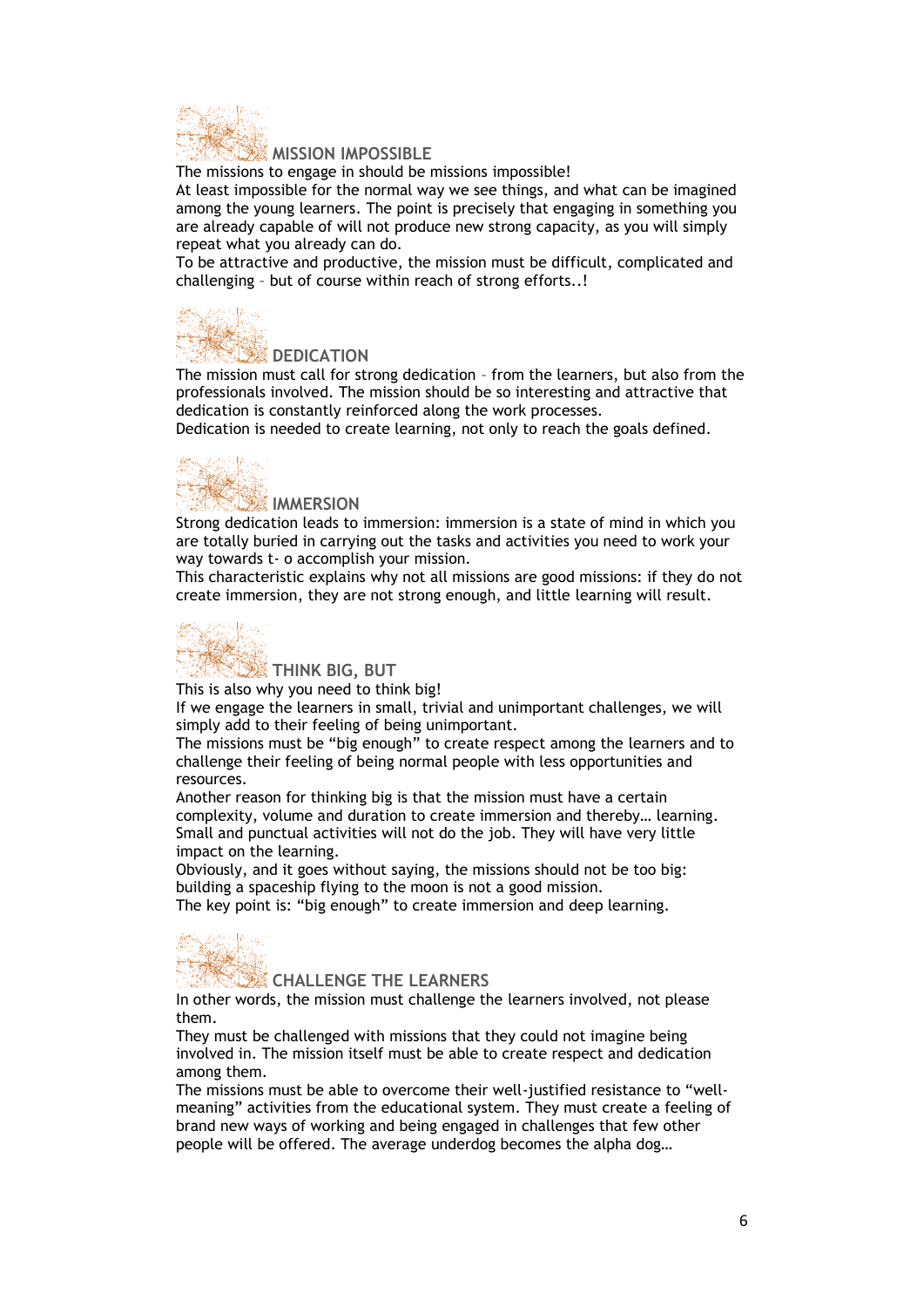

#### **MISSION IMPOSSIBLE**

The missions to engage in should be missions impossible!

At least impossible for the normal way we see things, and what can be imagined among the young learners. The point is precisely that engaging in something you are already capable of will not produce new strong capacity, as you will simply repeat what you already can do.

To be attractive and productive, the mission must be difficult, complicated and challenging – but of course within reach of strong efforts..!



### *DEDICATION*

The mission must call for strong dedication – from the learners, but also from the professionals involved. The mission should be so interesting and attractive that dedication is constantly reinforced along the work processes.

Dedication is needed to create learning, not only to reach the goals defined.



Strong dedication leads to immersion: immersion is a state of mind in which you are totally buried in carrying out the tasks and activities you need to work your way towards t- o accomplish your mission.

This characteristic explains why not all missions are good missions: if they do not create immersion, they are not strong enough, and little learning will result.



**THINK BIG, BUT**

This is also why you need to think big!

If we engage the learners in small, trivial and unimportant challenges, we will simply add to their feeling of being unimportant.

The missions must be "big enough" to create respect among the learners and to challenge their feeling of being normal people with less opportunities and resources.

Another reason for thinking big is that the mission must have a certain complexity, volume and duration to create immersion and thereby… learning. Small and punctual activities will not do the job. They will have very little impact on the learning.

Obviously, and it goes without saying, the missions should not be too big: building a spaceship flying to the moon is not a good mission.

The key point is: "big enough" to create immersion and deep learning.



**CHALLENGE THE LEARNERS**

In other words, the mission must challenge the learners involved, not please them.

They must be challenged with missions that they could not imagine being involved in. The mission itself must be able to create respect and dedication among them.

The missions must be able to overcome their well-justified resistance to "wellmeaning" activities from the educational system. They must create a feeling of brand new ways of working and being engaged in challenges that few other people will be offered. The average underdog becomes the alpha dog…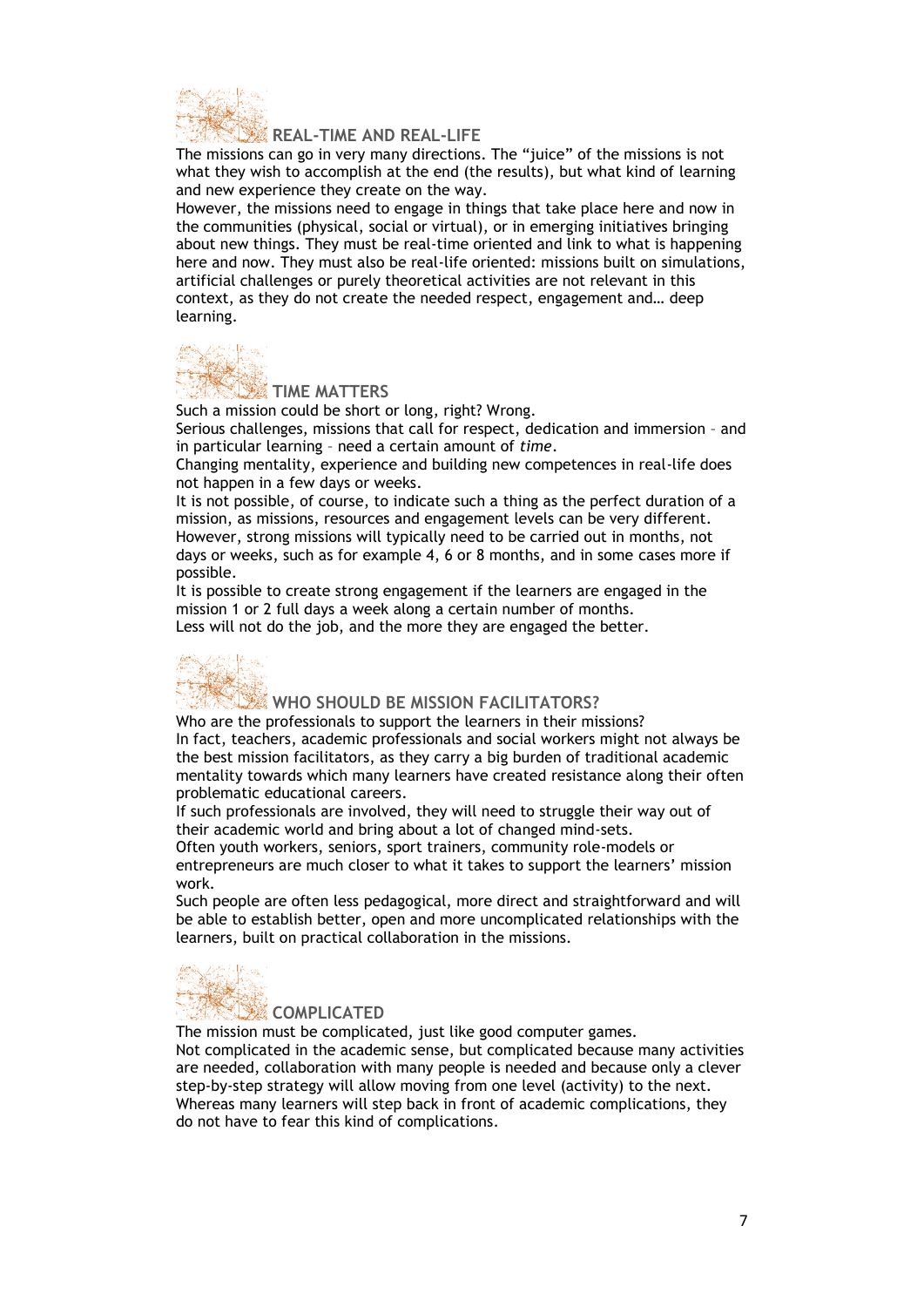

#### **REAL-TIME AND REAL-LIFE**

The missions can go in very many directions. The "juice" of the missions is not what they wish to accomplish at the end (the results), but what kind of learning and new experience they create on the way.

However, the missions need to engage in things that take place here and now in the communities (physical, social or virtual), or in emerging initiatives bringing about new things. They must be real-time oriented and link to what is happening here and now. They must also be real-life oriented: missions built on simulations, artificial challenges or purely theoretical activities are not relevant in this context, as they do not create the needed respect, engagement and… deep learning.



# **TIME** MATTERS

Such a mission could be short or long, right? Wrong. Serious challenges, missions that call for respect, dedication and immersion – and in particular learning – need a certain amount of *time*.

Changing mentality, experience and building new competences in real-life does not happen in a few days or weeks.

It is not possible, of course, to indicate such a thing as the perfect duration of a mission, as missions, resources and engagement levels can be very different. However, strong missions will typically need to be carried out in months, not days or weeks, such as for example 4, 6 or 8 months, and in some cases more if possible.

It is possible to create strong engagement if the learners are engaged in the mission 1 or 2 full days a week along a certain number of months.

Less will not do the job, and the more they are engaged the better.



WHO SHOULD BE MISSION FACILITATORS?

Who are the professionals to support the learners in their missions? In fact, teachers, academic professionals and social workers might not always be the best mission facilitators, as they carry a big burden of traditional academic mentality towards which many learners have created resistance along their often problematic educational careers.

If such professionals are involved, they will need to struggle their way out of their academic world and bring about a lot of changed mind-sets.

Often youth workers, seniors, sport trainers, community role-models or entrepreneurs are much closer to what it takes to support the learners' mission work.

Such people are often less pedagogical, more direct and straightforward and will be able to establish better, open and more uncomplicated relationships with the learners, built on practical collaboration in the missions.



#### **COMPLICATED**

The mission must be complicated, just like good computer games. Not complicated in the academic sense, but complicated because many activities are needed, collaboration with many people is needed and because only a clever step-by-step strategy will allow moving from one level (activity) to the next. Whereas many learners will step back in front of academic complications, they do not have to fear this kind of complications.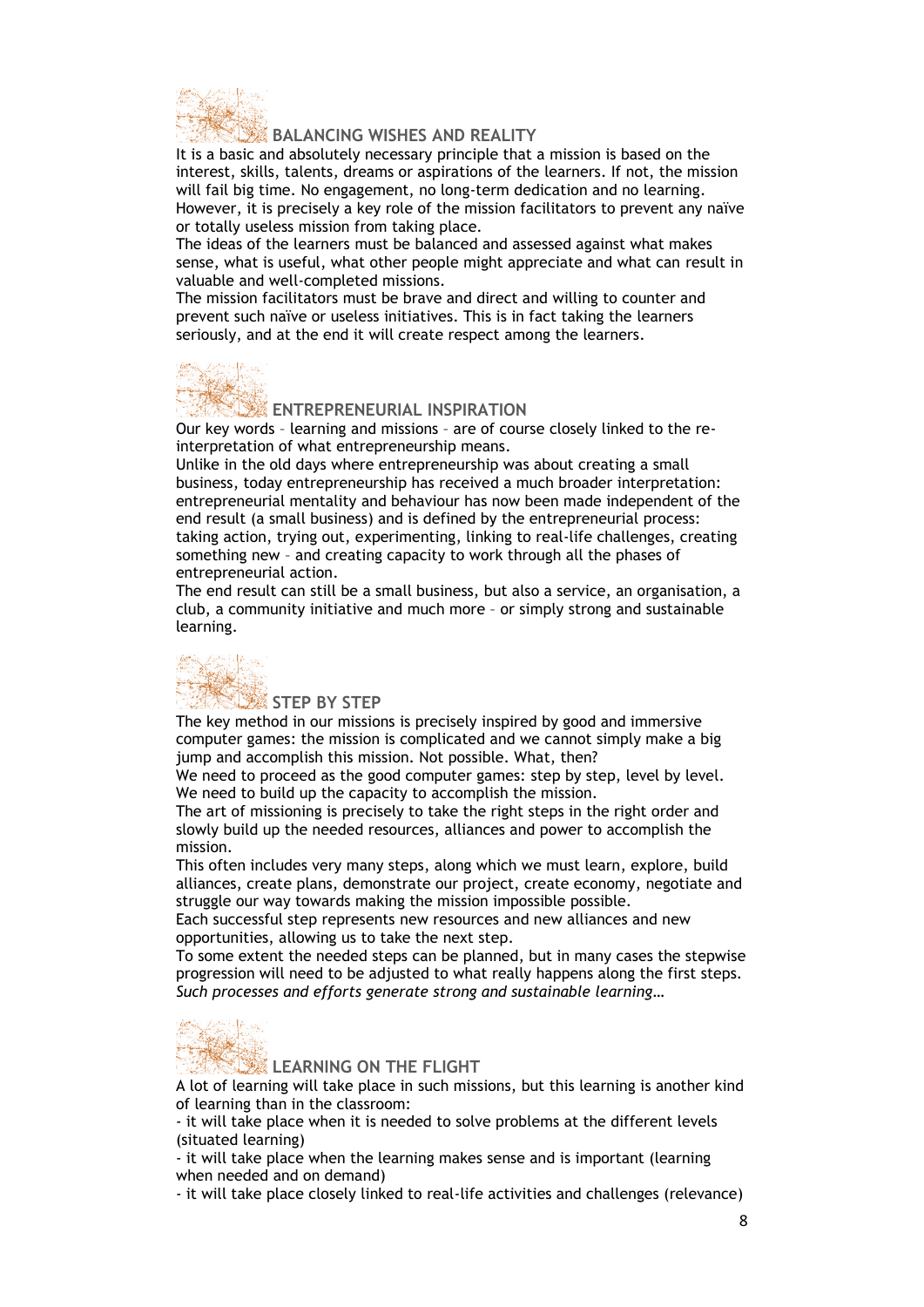

#### **BALANCING WISHES AND REALITY**

It is a basic and absolutely necessary principle that a mission is based on the interest, skills, talents, dreams or aspirations of the learners. If not, the mission will fail big time. No engagement, no long-term dedication and no learning. However, it is precisely a key role of the mission facilitators to prevent any naïve or totally useless mission from taking place.

The ideas of the learners must be balanced and assessed against what makes sense, what is useful, what other people might appreciate and what can result in valuable and well-completed missions.

The mission facilitators must be brave and direct and willing to counter and prevent such naïve or useless initiatives. This is in fact taking the learners seriously, and at the end it will create respect among the learners.



#### **ENTREPRENEURIAL INSPIRATION**

Our key words – learning and missions – are of course closely linked to the reinterpretation of what entrepreneurship means.

Unlike in the old days where entrepreneurship was about creating a small business, today entrepreneurship has received a much broader interpretation: entrepreneurial mentality and behaviour has now been made independent of the end result (a small business) and is defined by the entrepreneurial process: taking action, trying out, experimenting, linking to real-life challenges, creating something new – and creating capacity to work through all the phases of entrepreneurial action.

The end result can still be a small business, but also a service, an organisation, a club, a community initiative and much more – or simply strong and sustainable learning.



#### **STEP BY STEP**

The key method in our missions is precisely inspired by good and immersive computer games: the mission is complicated and we cannot simply make a big jump and accomplish this mission. Not possible. What, then?

We need to proceed as the good computer games: step by step, level by level. We need to build up the capacity to accomplish the mission.

The art of missioning is precisely to take the right steps in the right order and slowly build up the needed resources, alliances and power to accomplish the mission.

This often includes very many steps, along which we must learn, explore, build alliances, create plans, demonstrate our project, create economy, negotiate and struggle our way towards making the mission impossible possible.

Each successful step represents new resources and new alliances and new opportunities, allowing us to take the next step.

To some extent the needed steps can be planned, but in many cases the stepwise progression will need to be adjusted to what really happens along the first steps. *Such processes and efforts generate strong and sustainable learning…*



#### **LEARNING ON THE FLIGHT**

A lot of learning will take place in such missions, but this learning is another kind of learning than in the classroom:

- it will take place when it is needed to solve problems at the different levels (situated learning)

- it will take place when the learning makes sense and is important (learning when needed and on demand)

- it will take place closely linked to real-life activities and challenges (relevance)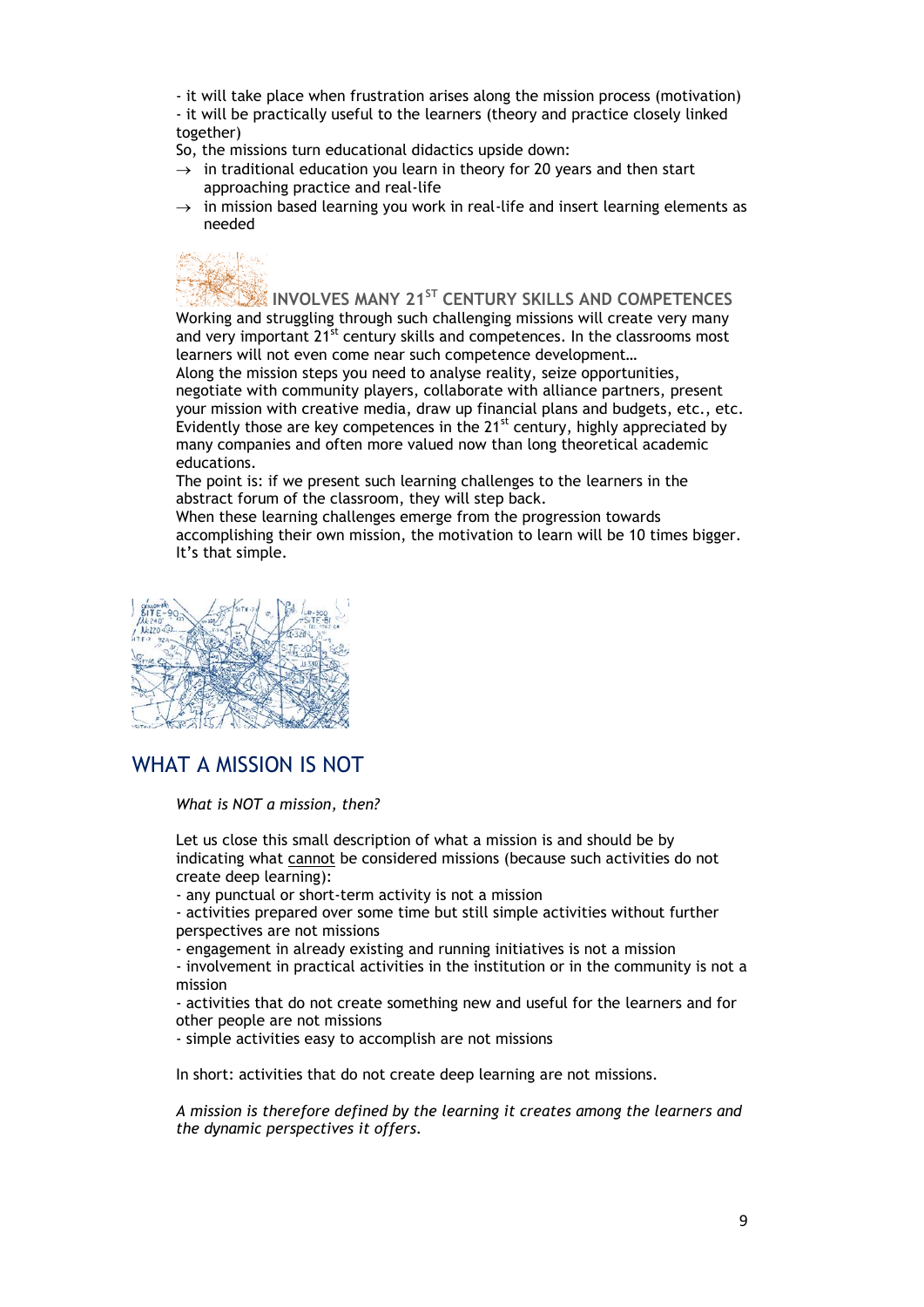- it will take place when frustration arises along the mission process (motivation) - it will be practically useful to the learners (theory and practice closely linked together)

So, the missions turn educational didactics upside down:

- $\rightarrow$  in traditional education you learn in theory for 20 years and then start approaching practice and real-life
- $\rightarrow$  in mission based learning you work in real-life and insert learning elements as needed

**INVOLVES MANY 21ST CENTURY SKILLS AND COMPETENCES** Working and struggling through such challenging missions will create very many and very important  $21^{st}$  century skills and competences. In the classrooms most learners will not even come near such competence development… Along the mission steps you need to analyse reality, seize opportunities, negotiate with community players, collaborate with alliance partners, present

your mission with creative media, draw up financial plans and budgets, etc., etc. Evidently those are key competences in the  $21^{st}$  century, highly appreciated by many companies and often more valued now than long theoretical academic educations.

The point is: if we present such learning challenges to the learners in the abstract forum of the classroom, they will step back.

When these learning challenges emerge from the progression towards accomplishing their own mission, the motivation to learn will be 10 times bigger. It's that simple.



# WHAT A MISSION IS NOT

#### *What is NOT a mission, then?*

Let us close this small description of what a mission is and should be by indicating what cannot be considered missions (because such activities do not create deep learning):

- any punctual or short-term activity is not a mission

- activities prepared over some time but still simple activities without further perspectives are not missions

- engagement in already existing and running initiatives is not a mission

- involvement in practical activities in the institution or in the community is not a mission

- activities that do not create something new and useful for the learners and for other people are not missions

- simple activities easy to accomplish are not missions

In short: activities that do not create deep learning are not missions.

*A mission is therefore defined by the learning it creates among the learners and the dynamic perspectives it offers.*